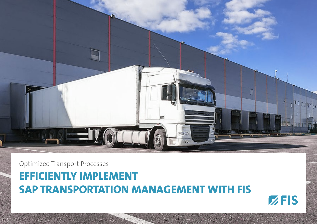

Optimized Transport Processes

# **EFFICIENTLY IMPLEMENT SAP TRANSPORTATION MANAGEMENT WITH FIS**

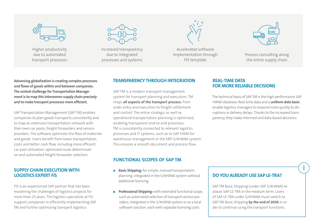

Higher productivity due to automated transport processes



Increased transparency due to integrated processes and systems



Accelerated software implementation through FIS template



Process consulting along the entire supply chain

**Advancing globalization is creating complex processes and flows of goods within and between companies. The central challenge for Transportation Management is to map this interwoven supply chain precisely and to make transport processes more efficient.** 

SAP Transportation Management (SAP TM) enables companies to plan goods transports consistently and to map an extensive transportation network with their own car pools, freight forwarders and service providers. The software optimizes the flow of materials and goods. Users benefit from lower transportation costs and better cash flow, including more efficient car pool utilization, optimized route determination and automated freight forwarder selection.

#### **SUPPLY CHAIN EXECUTION WITH LOGISTICS EXPERT FIS**

FIS is an experienced SAP partner that has been mastering the challenges of logistics projects for more than 25 years. The logistics specialists at FIS support companies in efficiently implementing SAP TM and further optimizing transport logistics.

## **TRANSPARENCY THROUGH INTEGRATION**

SAP TM is a modern transport management system for transport planning and execution. TM maps **all aspects of the transport process:** from order entry and execution to freight settlement and control. The entire strategic as well as operational transportation planning is optimized, enabling transparent end-to-end processes. TM is consistently connected to relevant logistics processes and IT systems, such as to SAP EWM for warehouse management or the ERP S/4HANA system. This ensures a smooth document and process flow.

#### **FUNCTIONAL SCOPES OF SAP TM**

- **Basic Shipping:** for simple, manual transportation planning; integrated in the S/4HANA system without additional licensing
- **Professional Shipping:** with extended functional scope, such as automated selection of transport service providers; integrated in the S/4HANA system or as a local software solution, each with separate licensing costs

## **REAL-TIME DATA FOR MORE RELIABLE DECISIONS**

The technical basis of SAP TM is the high-performance SAP HANA database. Real-time data and a **uniform data basis**  enable logistics managers to respond more quickly to disruptions or delivery delays. Thanks to the increased transparency, they make informed and data-based decisions.

#### **DO YOU ALREADY USE SAP LE-TRA?**

**i**

SAP TM Basic Shipping (under SAP S/4HANA) replaces SAP LE-TRA in the medium term. Users of SAP LE-TRA under S/4HANA must switch to SAP TM Basic Shipping **by the end of 2030** in order to continue using the transport functions.